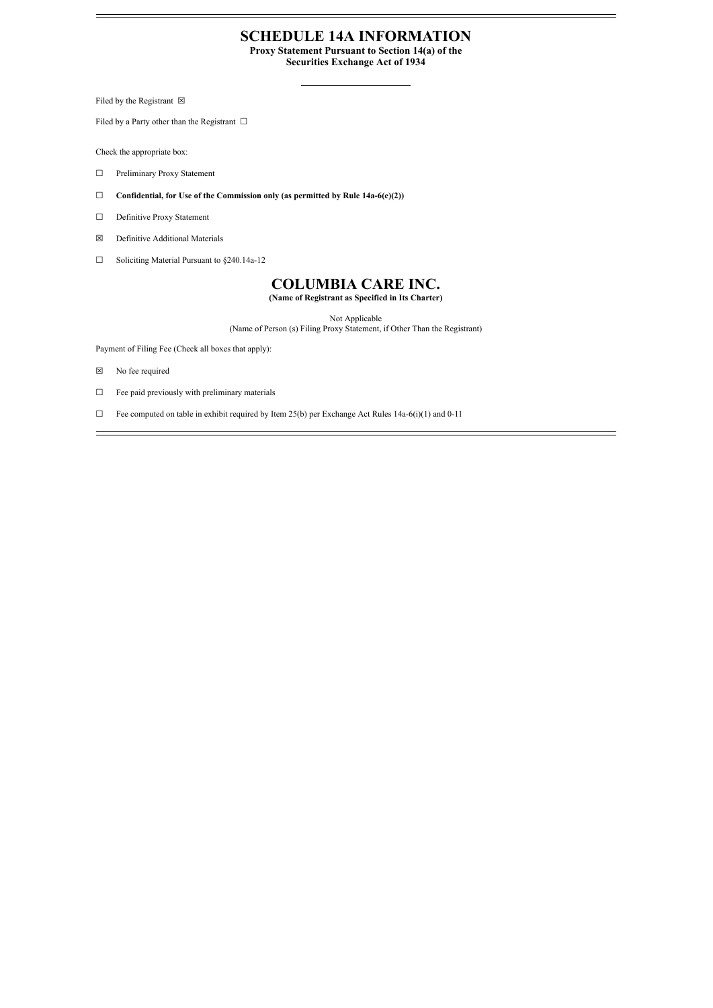#### **SCHEDULE 14A INFORMATION**

**Proxy Statement Pursuant to Section 14(a) of the**

**Securities Exchange Act of 1934**

Filed by the Registrant  $\boxtimes$ 

Filed by a Party other than the Registrant  $\Box$ 

Check the appropriate box:

- ☐ Preliminary Proxy Statement
- ☐ **Confidential, for Use of the Commission only (as permitted by Rule 14a-6(e)(2))**
- ☐ Definitive Proxy Statement
- ☒ Definitive Additional Materials
- ☐ Soliciting Material Pursuant to §240.14a-12

## **COLUMBIA CARE INC.**

**(Name of Registrant as Specified in Its Charter)**

Not Applicable

(Name of Person (s) Filing Proxy Statement, if Other Than the Registrant)

Payment of Filing Fee (Check all boxes that apply):

- ☒ No fee required
- ☐ Fee paid previously with preliminary materials
- $\Box$  Fee computed on table in exhibit required by Item 25(b) per Exchange Act Rules 14a-6(i)(1) and 0-11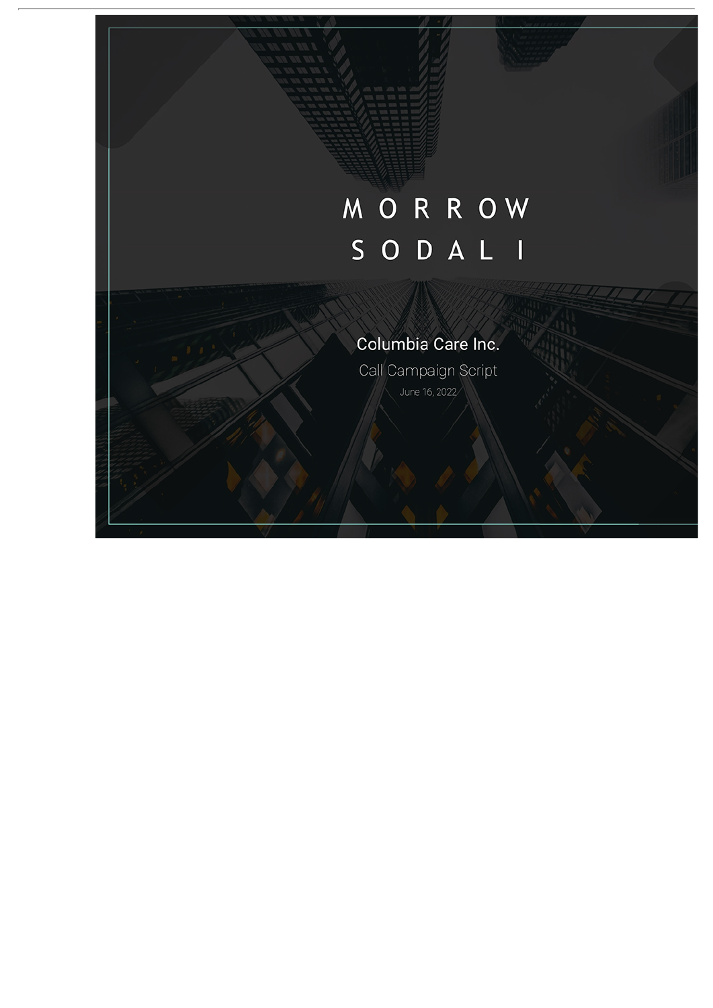# MORROW SODALI

## Columbia Care Inc.

Call Campaign Script June 16, 2022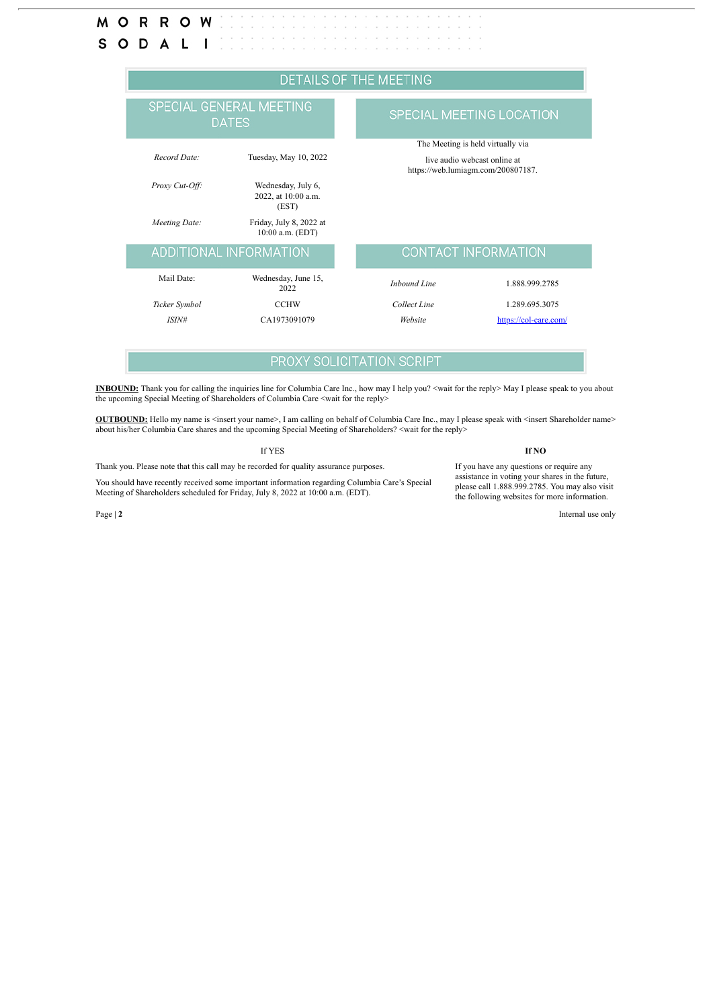#### м ORROW S O D  $\mathsf{I}$ A L

| <b>DETAILS OF THE MEETING</b>           |                                                    |                            |                                                                                                         |  |
|-----------------------------------------|----------------------------------------------------|----------------------------|---------------------------------------------------------------------------------------------------------|--|
| SPECIAL GENERAL MEETING<br><b>DATES</b> |                                                    |                            | SPECIAL MEETING LOCATION                                                                                |  |
| Record Date:                            | Tuesday, May 10, 2022                              |                            | The Meeting is held virtually via<br>live audio webcast online at<br>https://web.lumiagm.com/200807187. |  |
| Proxy Cut-Off:                          | Wednesday, July 6,<br>2022, at 10:00 a.m.<br>(EST) |                            |                                                                                                         |  |
| Meeting Date:                           | Friday, July 8, 2022 at<br>10:00 a.m. (EDT)        |                            |                                                                                                         |  |
| ADDITIONAL INFORMATION                  |                                                    | <b>CONTACT INFORMATION</b> |                                                                                                         |  |
| Mail Date:                              | Wednesday, June 15,<br>2022                        | Inbound Line               | 1.888.999.2785                                                                                          |  |
| Ticker Symbol                           | <b>CCHW</b>                                        | Collect Line               | 1.289.695.3075                                                                                          |  |
| ISIN#                                   | CA1973091079                                       | Website                    | https://col-care.com/                                                                                   |  |

### **PROXY SOLICITATION SCRIPT**

**INBOUND:** Thank you for calling the inquiries line for Columbia Care Inc., how may I help you? <wait for the reply> May I please speak to you about the upcoming Special Meeting of Shareholders of Columbia Care <wait for the reply>

**OUTBOUND:** Hello my name is <insert your name>, I am calling on behalf of Columbia Care Inc., may I please speak with <insert Shareholder name> about his/her Columbia Care shares and the upcoming Special Meeting of Shareholders? <wait for the reply>

Thank you. Please note that this call may be recorded for quality assurance purposes.

You should have recently received some important information regarding Columbia Care's Special Meeting of Shareholders scheduled for Friday, July 8, 2022 at 10:00 a.m. (EDT).

Page **| 2** Internal use only

#### If YES **If NO** If you have any questions or require any

assistance in voting your shares in the future, please call 1.888.999.2785. You may also visit the following websites for more information.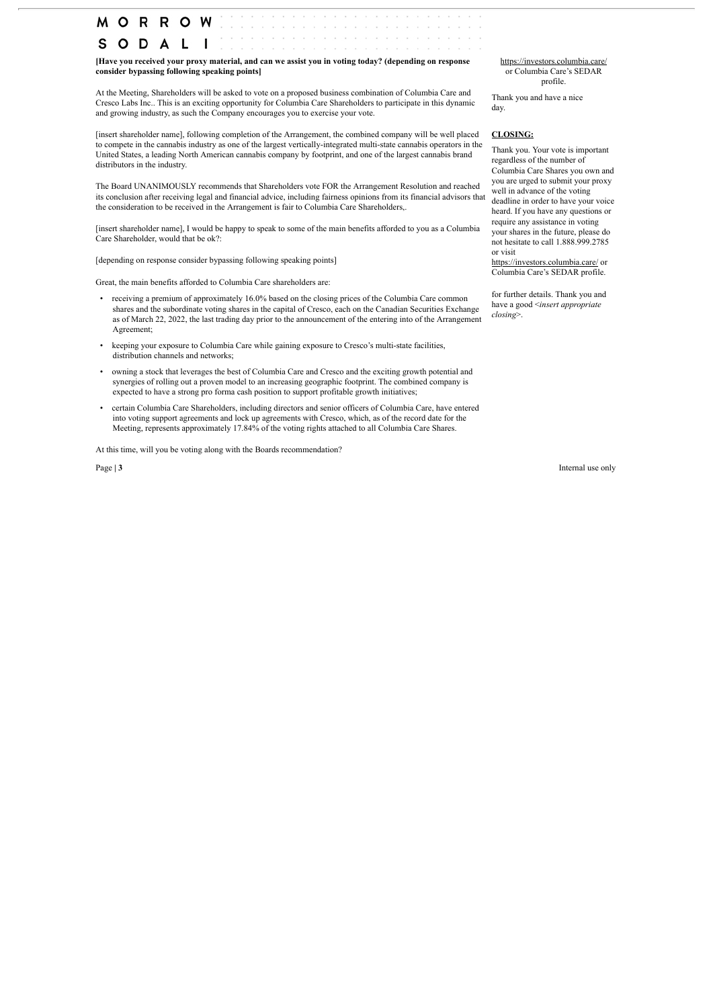**MORROW** s  $\circ$ D

**[Have you received your proxy material, and can we assist you in voting today? (depending on response consider bypassing following speaking points]**

At the Meeting, Shareholders will be asked to vote on a proposed business combination of Columbia Care and Cresco Labs Inc.. This is an exciting opportunity for Columbia Care Shareholders to participate in this dynamic and growing industry, as such the Company encourages you to exercise your vote.

[insert shareholder name], following completion of the Arrangement, the combined company will be well placed to compete in the cannabis industry as one of the largest vertically-integrated multi-state cannabis operators in the United States, a leading North American cannabis company by footprint, and one of the largest cannabis brand distributors in the industry.

The Board UNANIMOUSLY recommends that Shareholders vote FOR the Arrangement Resolution and reached its conclusion after receiving legal and financial advice, including fairness opinions from its financial advisors that the consideration to be received in the Arrangement is fair to Columbia Care Shareholders,

[insert shareholder name], I would be happy to speak to some of the main benefits afforded to you as a Columbia Care Shareholder, would that be ok?:

[depending on response consider bypassing following speaking points]

Great, the main benefits afforded to Columbia Care shareholders are:

- receiving a premium of approximately 16.0% based on the closing prices of the Columbia Care common shares and the subordinate voting shares in the capital of Cresco, each on the Canadian Securities Exchange as of March 22, 2022, the last trading day prior to the announcement of the entering into of the Arrangement Agreement;
- keeping your exposure to Columbia Care while gaining exposure to Cresco's multi-state facilities, distribution channels and networks;
- owning a stock that leverages the best of Columbia Care and Cresco and the exciting growth potential and synergies of rolling out a proven model to an increasing geographic footprint. The combined company is expected to have a strong pro forma cash position to support profitable growth initiatives;
- certain Columbia Care Shareholders, including directors and senior officers of Columbia Care, have entered into voting support agreements and lock up agreements with Cresco, which, as of the record date for the Meeting, represents approximately 17.84% of the voting rights attached to all Columbia Care Shares.

At this time, will you be voting along with the Boards recommendation?

https://investors.columbia.care/ or Columbia Care's SEDAR profile.

Thank you and have a nice day.

#### **CLOSING:**

Thank you. Your vote is important regardless of the number of Columbia Care Shares you own and you are urged to submit your proxy well in advance of the voting deadline in order to have your voice heard. If you have any questions or require any assistance in voting your shares in the future, please do not hesitate to call 1.888.999.2785 or visit

https://investors.columbia.care/ or Columbia Care's SEDAR profile.

for further details. Thank you and have a good <*insert appropriate closing*>.

Page **| 3** Internal use only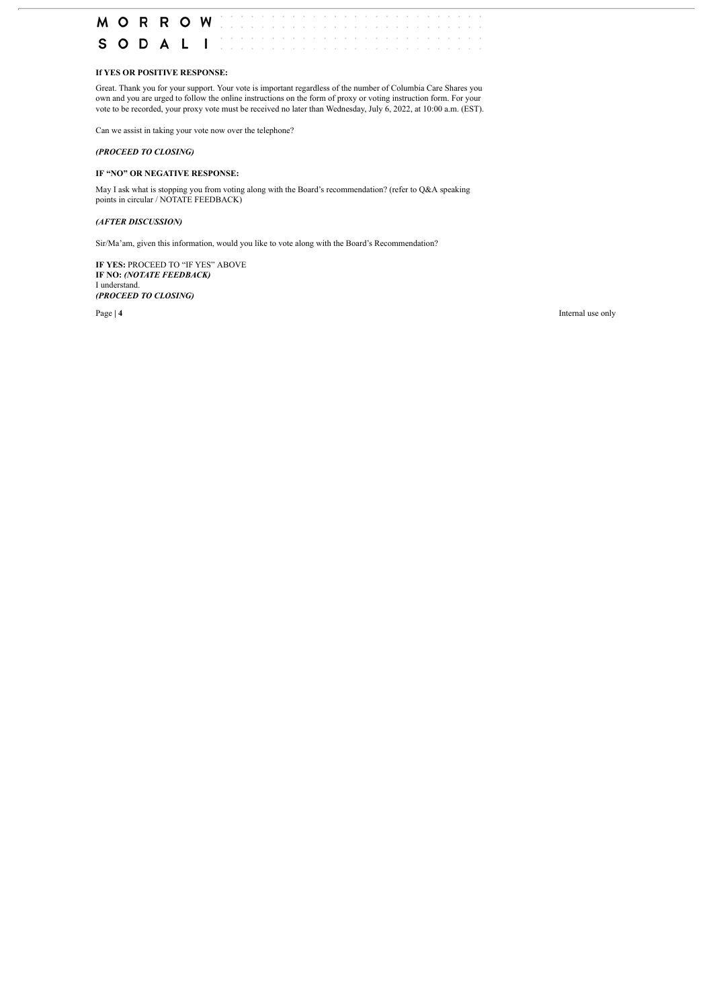

#### **If YES OR POSITIVE RESPONSE:**

Great. Thank you for your support. Your vote is important regardless of the number of Columbia Care Shares you own and you are urged to follow the online instructions on the form of proxy or voting instruction form. For your vote to be recorded, your proxy vote must be received no later than Wednesday, July 6, 2022, at 10:00 a.m. (EST).

Can we assist in taking your vote now over the telephone?

#### *(PROCEED TO CLOSING)*

#### **IF "NO" OR NEGATIVE RESPONSE:**

May I ask what is stopping you from voting along with the Board's recommendation? (refer to Q&A speaking points in circular / NOTATE FEEDBACK)

#### *(AFTER DISCUSSION)*

Sir/Ma'am, given this information, would you like to vote along with the Board's Recommendation?

**IF YES:** PROCEED TO "IF YES" ABOVE **IF NO:** *(NOTATE FEEDBACK)* I understand. *(PROCEED TO CLOSING)*

Page **| 4** Internal use only